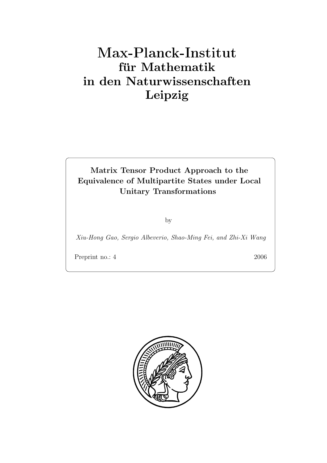# $f$ **ür** Mathematik **in den Naturwissenschaften Leipzig**

#### **Matrix Tensor Product Approach to the Equivalence of Multipartite States under Local Unitary Transformations**

by

*Xiu-Hong Gao, Sergio Albeverio, Shao-Ming Fei, and Zhi-Xi Wang*

Preprint no.: 4 2006

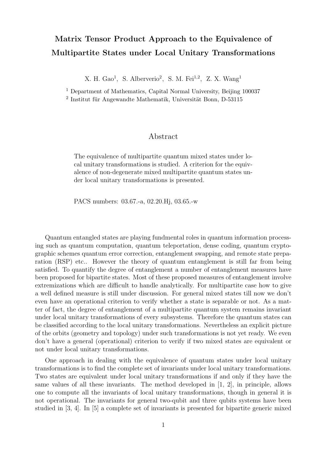## **Matrix Tensor Product Approach to the Equivalence of Multipartite States under Local Unitary Transformations**

X. H. Gao<sup>1</sup>, S. Alberverio<sup>2</sup>, S. M. Fei<sup>1,2</sup>, Z. X. Wang<sup>1</sup>

<sup>1</sup> Department of Mathematics, Capital Normal University, Beijing 100037  $2$  Institut für Angewandte Mathematik, Universität Bonn, D-53115

#### Abstract

The equivalence of multipartite quantum mixed states under local unitary transformations is studied. A criterion for the equivalence of non-degenerate mixed multipartite quantum states under local unitary transformations is presented.

PACS numbers: 03.67.-a, 02.20.Hj, 03.65.-w

Quantum entangled states are playing fundmental roles in quantum information processing such as quantum computation, quantum teleportation, dense coding, quantum cryptographic schemes quantum error correction, entanglement swapping, and remote state preparation (RSP) etc.. However the theory of quantum entanglement is still far from being satisfied. To quantify the degree of entanglement a number of entanglement measures have been proposed for bipartite states. Most of these proposed measures of entanglement involve extremizations which are difficult to handle analytically. For multipartite case how to give a well defined measure is still under discussion. For general mixed states till now we don't even have an operational criterion to verify whether a state is separable or not. As a matter of fact, the degree of entanglement of a multipartite quantum system remains invariant under local unitary transformations of every subsystems. Therefore the quantum states can be classified according to the local unitary transformations. Nevertheless an explicit picture of the orbits (geometry and topology) under such transformations is not yet ready. We even don't have a general (operational) criterion to verify if two mixed states are equivalent or not under local unitary transformations.

One approach in dealing with the equivalence of quantum states under local unitary transformations is to find the complete set of invariants under local unitary transformations. Two states are equivalent under local unitary transformations if and only if they have the same values of all these invariants. The method developed in [1, 2], in principle, allows one to compute all the invariants of local unitary transformations, though in general it is not operational. The invariants for general two-qubit and three qubits systems have been studied in [3, 4]. In [5] a complete set of invariants is presented for bipartite generic mixed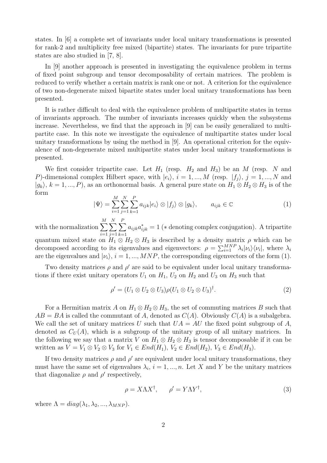states. In [6] a complete set of invariants under local unitary transformations is presented for rank-2 and multiplicity free mixed (bipartite) states. The invariants for pure tripartite states are also studied in [7, 8].

In [9] another approach is presented in investigating the equivalence problem in terms of fixed point subgroup and tensor decomposability of certain matrices. The problem is reduced to verify whether a certain matrix is rank one or not. A criterion for the equivalence of two non-degenerate mixed bipartite states under local unitary transformations has been presented.

It is rather difficult to deal with the equivalence problem of multipartite states in terms of invariants approach. The number of invariants increases quickly when the subsystems increase. Nevertheless, we find that the approach in [9] can be easily generalized to multipartite case. In this note we investigate the equivalence of multipartite states under local unitary transformations by using the method in [9]. An operational criterion for the equivalence of non-degenerate mixed multipartite states under local unitary transformations is presented.

We first consider tripartite case. Let  $H_1$  (resp.  $H_2$  and  $H_3$ ) be an M (resp. N and P)-dimensional complex Hilbert space, with  $|e_i\rangle$ ,  $i = 1, ..., M$  (resp.  $|f_j\rangle$ ,  $j = 1, ..., N$  and  $|g_k\rangle, k = 1, ..., P$ , as an orthonormal basis. A general pure state on  $H_1 \otimes H_2 \otimes H_3$  is of the form

$$
|\Psi\rangle = \sum_{i=1}^{M} \sum_{j=1}^{N} \sum_{k=1}^{P} a_{ijk} |e_i\rangle \otimes |f_j\rangle \otimes |g_k\rangle, \qquad a_{ijk} \in \mathbb{C}
$$
 (1)

with the normalization  $\sum$ M  $i=1$  $\sum$ N  $j=1$  $\sum$ P  $k=1$  $a_{ijk}a_{ijk}^* = 1$  (\* denoting complex conjugation). A tripartite quantum mixed state on  $H_1 \otimes H_2 \otimes H_3$  is described by a density matrix  $\rho$  which can be decomposed according to its eigenvalues and eigenvectors:  $\rho = \sum_{i=1}^{MNP} \lambda_i |\nu_i\rangle \langle \nu_i|$ , where  $\lambda_i$ are the eigenvalues and  $|\nu_i\rangle$ ,  $i = 1, ..., MNP$ , the corresponding eigenvectors of the form (1).

Two density matrices  $\rho$  and  $\rho'$  are said to be equivalent under local unitary transformations if there exist unitary operators  $U_1$  on  $H_1$ ,  $U_2$  on  $H_2$  and  $U_3$  on  $H_3$  such that

$$
\rho' = (U_1 \otimes U_2 \otimes U_3)\rho(U_1 \otimes U_2 \otimes U_3)^{\dagger}.
$$
\n(2)

For a Hermitian matrix A on  $H_1 \otimes H_2 \otimes H_3$ , the set of commuting matrices B such that  $AB = BA$  is called the commutant of A, denoted as  $C(A)$ . Obviously  $C(A)$  is a subalgebra. We call the set of unitary matrices U such that  $UA = AU$  the fixed point subgroup of A, denoted as  $C_U(A)$ , which is a subgroup of the unitary group of all unitary matrices. In the following we say that a matrix V on  $H_1 \otimes H_2 \otimes H_3$  is tensor decomposable if it can be written as  $V = V_1 \otimes V_2 \otimes V_3$  for  $V_1 \in End(H_1)$ ,  $V_2 \in End(H_2)$ ,  $V_3 \in End(H_3)$ .

If two density matrices  $\rho$  and  $\rho'$  are equivalent under local unitary transformations, they must have the same set of eigenvalues  $\lambda_i$ ,  $i = 1, ..., n$ . Let X and Y be the unitary matrices that diagonalize  $\rho$  and  $\rho'$  respectively,

$$
\rho = X\Lambda X^{\dagger}, \qquad \rho' = Y\Lambda Y^{\dagger}, \tag{3}
$$

where  $\Lambda = diag(\lambda_1, \lambda_2, ..., \lambda_{MNP}).$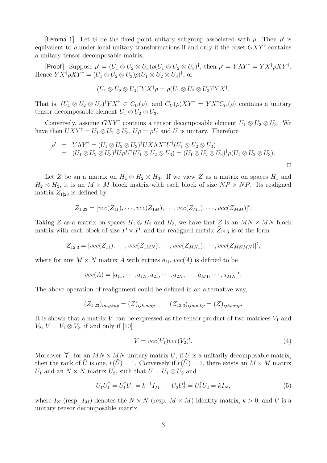**[Lemma 1].** Let G be the fixed point unitary subgroup associated with  $\rho$ . Then  $\rho'$  is equivalent to  $\rho$  under local unitary transformations if and only if the coset  $GXY^{\dagger}$  contains a unitary tensor decomposable matrix.

[Proof]. Suppose  $\rho' = (U_1 \otimes U_2 \otimes U_3) \rho (U_1 \otimes U_2 \otimes U_3)^{\dagger}$ , then  $\rho' = Y \Lambda Y^{\dagger} = Y X^{\dagger} \rho X Y^{\dagger}$ . Hence  $Y X^{\dagger} \rho X Y^{\dagger} = (U_1 \otimes U_2 \otimes U_3) \rho (U_1 \otimes U_2 \otimes U_3)^{\dagger}$ , or

$$
(U_1 \otimes U_2 \otimes U_3)^{\dagger} Y X^{\dagger} \rho = \rho (U_1 \otimes U_2 \otimes U_3)^{\dagger} Y X^{\dagger}.
$$

That is,  $(U_1 \otimes U_2 \otimes U_3)^{\dagger} Y X^{\dagger} \in C_U(\rho)$ , and  $C_U(\rho) X Y^{\dagger} = Y X^{\dagger} C_U(\rho)$  contains a unitary tensor decomposable element  $U_1 \otimes U_2 \otimes U_3$ .

Conversely, assume  $GXY^{\dagger}$  contains a tensor decomposable element  $U_1 \otimes U_2 \otimes U_3$ . We have then  $UXY^{\dagger} = U_1 \otimes U_2 \otimes U_3$ ,  $U\rho = \rho U$  and U is unitary. Therefore

$$
\rho' = Y\Lambda Y^{\dagger} = (U_1 \otimes U_2 \otimes U_3)^{\dagger}UX\Lambda X^{\dagger}U^{\dagger}(U_1 \otimes U_2 \otimes U_3)
$$
  
= 
$$
(U_1 \otimes U_2 \otimes U_3)^{\dagger}U\rho U^{\dagger}(U_1 \otimes U_2 \otimes U_3) = (U_1 \otimes U_2 \otimes U_3)^{\dagger}\rho(U_1 \otimes U_2 \otimes U_3).
$$

Let Z be an a matrix on  $H_1 \otimes H_2 \otimes H_3$ . If we view Z as a matrix on spaces  $H_1$  and  $H_2 \otimes H_3$ , it is an  $M \times M$  block matrix with each block of size  $NP \times NP$ . Its realigned matrix  $Z_{1|23}$  is defined by

$$
\tilde{Z}_{1|23} = [vec(Z_{11}), \cdots, vec(Z_{1M}), \cdots, vec(Z_{M1}), \cdots, vec(Z_{MM})]^t,
$$

Taking Z as a matrix on spaces  $H_1 \otimes H_2$  and  $H_3$ , we have that Z is an  $MN \times MN$  block matrix with each block of size  $P \times P$ , and the realigned matrix  $Z_{12|3}$  is of the form

$$
\tilde{Z}_{12|3}=[vec(Z_{11}),\cdots,vec(Z_{1MN}),\cdots,vec(Z_{MN1}),\cdots,vec(Z_{MNMN})]^t,
$$

where for any  $M \times N$  matrix A with entries  $a_{ij}$ ,  $vec(A)$  is defined to be

$$
vec(A) = [a_{11}, \cdots, a_{1N}, a_{21}, \cdots, a_{2N}, \cdots, a_{M1}, \cdots, a_{MN}]^{t}.
$$

The above operation of realignment could be defined in an alternative way,

$$
(\tilde{Z}_{1|23})_{im,jknp} = (Z)_{ijk,mnp}, \qquad (\tilde{Z}_{12|3})_{ijmn,kp} = (Z)_{ijk,mnp}.
$$

It is shown that a matrix V can be expressed as the tensor product of two matrices  $V_1$  and  $V_2$ ,  $V = V_1 \otimes V_2$ , if and only if [10]

$$
\tilde{V} = vec(V_1)vec(V_2)^t.
$$
\n(4)

Moreover [7], for an  $MN \times MN$  unitary matrix U, if U is a unitarily decomposable matrix, then the rank of  $\hat{U}$  is one,  $r(\hat{U}) = 1$ . Conversely if  $r(\hat{U}) = 1$ , there exists an  $M \times M$  matrix  $U_1$  and an  $N \times N$  matrix  $U_2$ , such that  $U = U_1 \otimes U_2$  and

$$
U_1 U_1^{\dagger} = U_1^{\dagger} U_1 = k^{-1} I_M, \quad U_2 U_2^{\dagger} = U_2^{\dagger} U_2 = k I_N,
$$
\n(5)

where  $I_N$  (resp.  $I_M$ ) denotes the  $N \times N$  (resp.  $M \times M$ ) identity matrix,  $k > 0$ , and U is a unitary tensor decomposable matrix.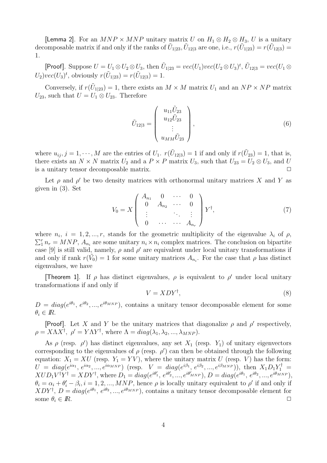[Lemma 2]. For an  $MNP \times MNP$  unitary matrix U on  $H_1 \otimes H_2 \otimes H_3$ , U is a unitary decomposable matrix if and only if the ranks of  $U_{1|23}$ ,  $U_{12|3}$  are one, i.e.,  $r(U_{1|23}) = r(U_{12|3})$ 1.

[Proof]. Suppose  $U = U_1 \otimes U_2 \otimes U_3$ , then  $\tilde{U}_{1|23} = vec(U_1)vec(U_2 \otimes U_3)^t$ ,  $\tilde{U}_{12|3} = vec(U_1 \otimes U_2)^t$  $U_2\)vec(U_3)^t$ , obviously  $r(\tilde{U}_{1|23}) = r(\tilde{U}_{12|3}) = 1$ .

Conversely, if  $r(U_{1|23}) = 1$ , there exists an  $M \times M$  matrix  $U_1$  and an  $NP \times NP$  matrix  $U_{23}$ , such that  $U = U_1 \otimes U_{23}$ . Therefore

$$
\tilde{U}_{12|3} = \begin{pmatrix} u_{11}\tilde{U}_{23} \\ u_{12}\tilde{U}_{23} \\ \vdots \\ u_{MM}\tilde{U}_{23} \end{pmatrix},
$$
\n(6)

where  $u_{ij}$ ,  $j = 1, \dots, M$  are the entries of  $U_1$ .  $r(\tilde{U}_{12|3}) = 1$  if and only if  $r(\tilde{U}_{23}) = 1$ , that is, there exists an  $N \times N$  matrix  $U_2$  and a  $P \times P$  matrix  $U_3$ , such that  $U_{23} = U_2 \otimes U_3$ , and U is a unitary tensor decomposable matrix is a unitary tensor decomposable matrix.

Let  $\rho$  and  $\rho'$  be two density matrices with orthonormal unitary matrices X and Y as given in (3). Set

$$
V_0 = X \begin{pmatrix} A_{n_1} & 0 & \cdots & 0 \\ 0 & A_{n_2} & \cdots & 0 \\ \vdots & & \ddots & \vdots \\ 0 & \cdots & \cdots & A_{n_r} \end{pmatrix} Y^{\dagger}, \tag{7}
$$

where  $n_i$ ,  $i = 1, 2, ..., r$ , stands for the geometric multiplicity of the eigenvalue  $\lambda_i$  of  $\rho$ ,  $\sum_{i=1}^{r} n_{r} = MNP$ ,  $A_{n_{i}}$  are some unitary  $n_{i} \times n_{i}$  complex matrices. The conclusion on bipartite case [9] is still valid, namely,  $\rho$  and  $\rho'$  are equivalent under local unitary transformations if and only if rank  $r(\tilde{V}_0) = 1$  for some unitary matrices  $A_{n_i}$ . For the case that  $\rho$  has distinct eigenvalues, we have

**[Theorem 1]**. If  $\rho$  has distinct eigenvalues,  $\rho$  is equivalent to  $\rho'$  under local unitary transformations if and only if

$$
V = XDY^{\dagger},\tag{8}
$$

 $D = diag(e^{i\theta_1}, e^{i\theta_2}, ..., e^{i\theta_{MNP}})$ , contains a unitary tensor decomposable element for some  $\theta_i \in \mathbb{R}$ .

**[Proof]**. Let X and Y be the unitary matrices that diagonalize  $\rho$  and  $\rho'$  respectively,  $\rho = X\Lambda X^{\dagger}, \ \rho' = Y\Lambda Y^{\dagger}, \text{ where } \Lambda = diag(\lambda_1, \lambda_2, ..., \lambda_{MNP}).$ 

As  $\rho$  (resp.  $\rho'$ ) has distinct eigenvalues, any set  $X_1$  (resp.  $Y_1$ ) of unitary eigenvectors corresponding to the eigenvalues of  $\rho$  (resp.  $\rho'$ ) can then be obtained through the following equation:  $X_1 = XU$  (resp.  $Y_1 = YV$ ), where the unitary matrix U (resp. V) has the form:  $U = diag(e^{i\alpha_1}, e^{i\alpha_2}, ..., e^{i\alpha_{MNP}})$  (resp.  $V = diag(e^{i\beta_1}, e^{i\beta_2}, ..., e^{i\beta_{MNP}})$ ), then  $X_1D_1Y_1^{\dagger} =$  $XUD_1V^{\dagger}Y^{\dagger} = XDY^{\dagger}$ , where  $D_1 = diag(e^{i\theta_1}, e^{i\theta_2}, ..., e^{i\theta_{MNP}})$ ,  $D = diag(e^{i\theta_1}, e^{i\theta_2}, ..., e^{i\theta_{MNP}})$ ,  $\theta_i = \alpha_i + \theta'_i - \beta_i, i = 1, 2, ..., MNP$ , hence  $\rho$  is locally unitary equivalent to  $\rho'$  if and only if  $XDY^{\dagger}, D = diag(e^{i\theta_1}, e^{i\theta_2}, ..., e^{i\theta_{MNP}})$ , contains a unitary tensor decomposable element for some  $\theta_i \in \mathbb{R}$ .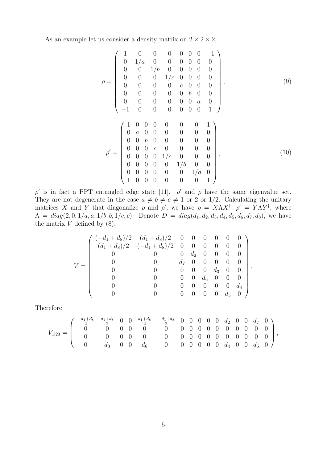As an example let us consider a density matrix on  $2 \times 2 \times 2$ ,

$$
\rho = \begin{pmatrix}\n1 & 0 & 0 & 0 & 0 & 0 & 0 & -1 \\
0 & 1/a & 0 & 0 & 0 & 0 & 0 & 0 \\
0 & 0 & 1/b & 0 & 0 & 0 & 0 & 0 \\
0 & 0 & 0 & 1/c & 0 & 0 & 0 & 0 \\
0 & 0 & 0 & 0 & c & 0 & 0 & 0 \\
0 & 0 & 0 & 0 & 0 & 0 & 0 & 0 \\
0 & 0 & 0 & 0 & 0 & 0 & 0 & 1 \\
-1 & 0 & 0 & 0 & 0 & 0 & 0 & 1\n\end{pmatrix}, \qquad (9)
$$
\n
$$
\rho' = \begin{pmatrix}\n1 & 0 & 0 & 0 & 0 & 0 & 0 & 1 \\
0 & a & 0 & 0 & 0 & 0 & 0 & 0 \\
0 & 0 & b & 0 & 0 & 0 & 0 & 0 \\
0 & 0 & 0 & c & 0 & 0 & 0 & 0 \\
0 & 0 & 0 & 0 & 1/c & 0 & 0 & 0 \\
0 & 0 & 0 & 0 & 0 & 1/b & 0 & 0 \\
0 & 0 & 0 & 0 & 0 & 0 & 1/a & 0 \\
0 & 0 & 0 & 0 & 0 & 0 & 0 & 1\n\end{pmatrix}, \qquad (10)
$$

.

 $\rho'$  is in fact a PPT entangled edge state [11].  $\rho'$  and  $\rho$  have the same eigenvalue set. They are not degenerate in the case  $a \neq b \neq c \neq 1$  or 2 or 1/2. Calculating the unitary matrices X and Y that diagonalize  $\rho$  and  $\rho'$ , we have  $\rho = X \Lambda X^{\dagger}$ ,  $\rho' = Y \Lambda Y^{\dagger}$ , where  $\Lambda = diag(2, 0, 1/a, a, 1/b, b, 1/c, c)$ . Denote  $D = diag(d_1, d_2, d_3, d_4, d_5, d_6, d_7, d_8)$ , we have the matrix  $V$  defined by  $(8)$ ,

$$
V = \begin{pmatrix} (-d_1 + d_8)/2 & (d_1 + d_8)/2 & 0 & 0 & 0 & 0 & 0 & 0 \\ (d_1 + d_8)/2 & (-d_1 + d_8)/2 & 0 & 0 & 0 & 0 & 0 & 0 \\ 0 & 0 & 0 & d_2 & 0 & 0 & 0 & 0 \\ 0 & 0 & d_7 & 0 & 0 & 0 & 0 & 0 \\ 0 & 0 & 0 & 0 & d_3 & 0 & 0 & 0 \\ 0 & 0 & 0 & 0 & 0 & d_6 & 0 & 0 & 0 \\ 0 & 0 & 0 & 0 & 0 & 0 & 0 & d_4 \\ 0 & 0 & 0 & 0 & 0 & 0 & d_5 & 0 \end{pmatrix}
$$

Therefore

<sup>V</sup>˜<sup>1</sup>|<sup>23</sup> <sup>=</sup> ⎛ ⎜⎜⎜⎝ <sup>−</sup>d1+d<sup>8</sup> 2 d1+d<sup>8</sup> <sup>2</sup> 0 0 <sup>d</sup>1+d<sup>8</sup> 2 <sup>−</sup>d1+d<sup>8</sup> <sup>2</sup> 00000 d<sup>2</sup> 0 0 d<sup>7</sup> 0 0 0 00 0 0 00000 0 00 0 0 0 0 00 0 0 00000 0 00 0 0 0 d<sup>3</sup> 0 0 d<sup>6</sup> 0 00000 d<sup>4</sup> 0 0 d<sup>5</sup> 0 ⎞ ⎟⎟⎟⎠ ,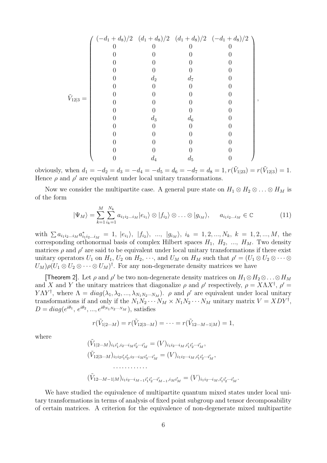|                     |              |       |                  | $\left(-d_1+d_8\right)/2 \left(d_1+d_8\right)/2 \left(d_1+d_8\right)/2 \left(-d_1+d_8\right)/2 \right)$ |  |
|---------------------|--------------|-------|------------------|---------------------------------------------------------------------------------------------------------|--|
| $\tilde{V}_{12 3}=$ |              |       |                  |                                                                                                         |  |
|                     |              |       |                  |                                                                                                         |  |
|                     | $\mathbf{0}$ |       |                  |                                                                                                         |  |
|                     |              |       |                  |                                                                                                         |  |
|                     |              | $d_2$ | $d_7$            |                                                                                                         |  |
|                     |              |       | $\left( \right)$ |                                                                                                         |  |
|                     |              |       |                  |                                                                                                         |  |
|                     |              |       |                  |                                                                                                         |  |
|                     |              |       |                  |                                                                                                         |  |
|                     |              | $d_3$ | $d_6$            |                                                                                                         |  |
|                     |              |       |                  |                                                                                                         |  |
|                     |              |       |                  |                                                                                                         |  |
|                     |              |       |                  |                                                                                                         |  |
|                     |              |       |                  |                                                                                                         |  |
|                     |              | $d_4$ | $d_5$            |                                                                                                         |  |

obviously, when  $d_1 = -d_2 = d_3 = -d_4 = -d_5 = d_6 = -d_7 = d_8 = 1, r(\tilde{V}_{1|23}) = r(\tilde{V}_{12|3}) = 1.$ Hence  $\rho$  and  $\rho'$  are equivalent under local unitary transformations.

Now we consider the multipartite case. A general pure state on  $H_1 \otimes H_2 \otimes \ldots \otimes H_M$  is of the form

$$
|\Psi_M\rangle = \sum_{k=1}^M \sum_{i_k=1}^{N_k} a_{i_1 i_2 \dots i_M} |e_{i_1}\rangle \otimes |f_{i_2}\rangle \otimes \dots \otimes |g_{i_M}\rangle, \qquad a_{i_1 i_2 \dots i_M} \in \mathbb{C}
$$
 (11)

with  $\sum a_{i_1i_2...i_M}a_{i_1i_2...i_M}^* = 1, |e_{i_1}\rangle, |f_{i_2}\rangle, ..., |g_{i_M}\rangle, i_k = 1, 2, ..., N_k, k = 1, 2, ..., M$ , the corresponding orthonormal basis of complex Hilbert spaces  $H_1$ ,  $H_2$ , ...,  $H_M$ . Two density matrices  $\rho$  and  $\rho'$  are said to be equivalent under local unitary transformations if there exist unitary operators  $U_1$  on  $H_1$ ,  $U_2$  on  $H_2$ ,  $\dots$ , and  $U_M$  on  $H_M$  such that  $\rho' = (U_1 \otimes U_2 \otimes \cdots \otimes$  $U_M$ ) $\rho$ ( $U_1 \otimes U_2 \otimes \cdots \otimes U_M$ )<sup>†</sup>. For any non-degenerate density matrices we have

[Theorem 2]. Let  $\rho$  and  $\rho'$  be two non-degenerate density matrices on  $H_1 \otimes H_2 \otimes \ldots \otimes H_M$ and X and Y the unitary matrices that diagonalize  $\rho$  and  $\rho'$  respectively,  $\rho = X \Lambda X^{\dagger}$ ,  $\rho' =$  $Y\Lambda Y^{\dagger}$ , where  $\Lambda = diag(\lambda_1, \lambda_2, ..., \lambda_{N_1N_2...N_M})$ .  $\rho$  and  $\rho'$  are equivalent under local unitary transformations if and only if the  $N_1N_2\cdots N_M\times N_1N_2\cdots N_M$  unitary matrix  $V = XDY^{\dagger}$ ,  $D = diag(e^{i\theta_1}, e^{i\theta_2}, ..., e^{i\theta_{N_1N_2\cdots N_M}})$ , satisfies

$$
r(\tilde{V}_{1|2\cdots M})=r(\tilde{V}_{12|3\cdots M})=\cdots=r(\tilde{V}_{12\cdots M-1|M})=1,
$$

where

(V˜<sup>1</sup>|2···<sup>M</sup>)<sup>i</sup>1i <sup>1</sup>,i2···i*<sup>M</sup>* <sup>i</sup> 2···i *<sup>M</sup>* = (V )<sup>i</sup>1i2···i*<sup>M</sup>* ,i 1i 2···i *M* , (V˜<sup>12</sup>|3···<sup>M</sup>)<sup>i</sup>1i2i 1i 2,i3···i*M*i 3···i *<sup>M</sup>* = (V )<sup>i</sup>1i2···i*M*,i 1i 2···i *M* , ············ (V˜<sup>12</sup>···M−1|<sup>M</sup>)<sup>i</sup>1i2···i*M*−1i 1i 2···i *<sup>M</sup>*−1,i*M*i *<sup>M</sup>* = (V )<sup>i</sup>1i2···i*<sup>M</sup>* ,i 1i 2···i *M* .

We have studied the equivalence of multipartite quantum mixed states under local unitary transformations in terms of analysis of fixed point subgroup and tensor decomposability of certain matrices. A criterion for the equivalence of non-degenerate mixed multipartite